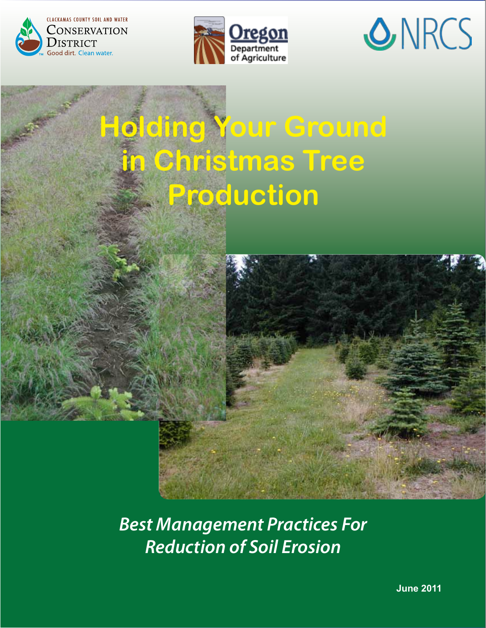





# **Holding Your Ground in Christmas Tree Production**



*Best Management Practices For Reduction of Soil Erosion* 

**June 2011**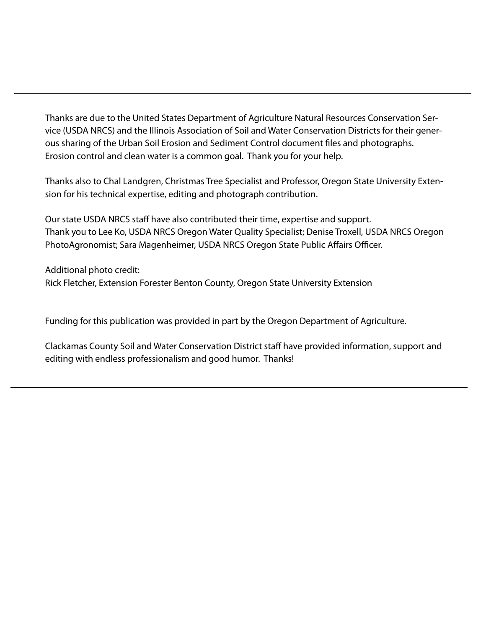Thanks are due to the United States Department of Agriculture Natural Resources Conservation Service (USDA NRCS) and the Illinois Association of Soil and Water Conservation Districts for their generous sharing of the Urban Soil Erosion and Sediment Control document files and photographs. Erosion control and clean water is a common goal. Thank you for your help.

Thanks also to Chal Landgren, Christmas Tree Specialist and Professor, Oregon State University Extension for his technical expertise, editing and photograph contribution.

Our state USDA NRCS staff have also contributed their time, expertise and support. Thank you to Lee Ko, USDA NRCS Oregon Water Quality Specialist; Denise Troxell, USDA NRCS Oregon PhotoAgronomist; Sara Magenheimer, USDA NRCS Oregon State Public Affairs Officer.

Additional photo credit: Rick Fletcher, Extension Forester Benton County, Oregon State University Extension

Funding for this publication was provided in part by the Oregon Department of Agriculture.

Clackamas County Soil and Water Conservation District staff have provided information, support and editing with endless professionalism and good humor. Thanks!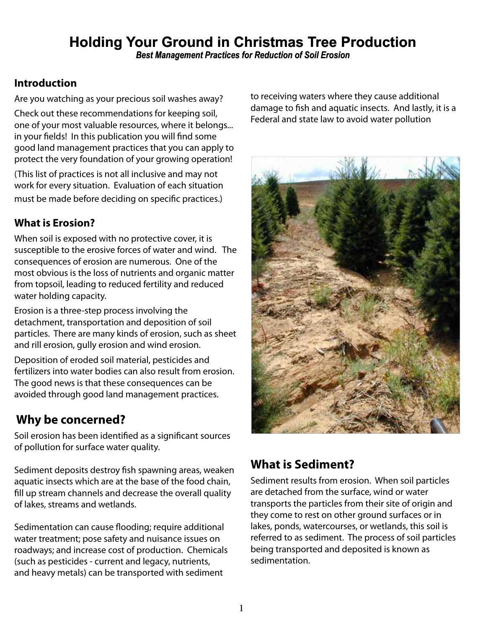## **Holding Your Ground in Christmas Tree Production**

*Best Management Practices for Reduction of Soil Erosion*

#### **Introduction**

Are you watching as your precious soil washes away?

Check out these recommendations for keeping soil, one of your most valuable resources, where it belongs... in your fields! In this publication you will find some good land management practices that you can apply to protect the very foundation of your growing operation!

(This list of practices is not all inclusive and may not work for every situation. Evaluation of each situation must be made before deciding on specific practices.)

### **What is Erosion?**

When soil is exposed with no protective cover, it is susceptible to the erosive forces of water and wind. The consequences of erosion are numerous. One of the most obvious is the loss of nutrients and organic matter from topsoil, leading to reduced fertility and reduced water holding capacity.

Erosion is a three-step process involving the detachment, transportation and deposition of soil particles. There are many kinds of erosion, such as sheet and rill erosion, gully erosion and wind erosion.

Deposition of eroded soil material, pesticides and fertilizers into water bodies can also result from erosion. The good news is that these consequences can be avoided through good land management practices.

## **Why be concerned?**

Soil erosion has been identified as a significant sources of pollution for surface water quality.

Sediment deposits destroy fish spawning areas, weaken aquatic insects which are at the base of the food chain, fill up stream channels and decrease the overall quality of lakes, streams and wetlands.

Sedimentation can cause flooding; require additional water treatment; pose safety and nuisance issues on roadways; and increase cost of production. Chemicals (such as pesticides - current and legacy, nutrients, and heavy metals) can be transported with sediment

to receiving waters where they cause additional damage to fish and aquatic insects. And lastly, it is a Federal and state law to avoid water pollution



## **What is Sediment?**

Sediment results from erosion. When soil particles are detached from the surface, wind or water transports the particles from their site of origin and they come to rest on other ground surfaces or in lakes, ponds, watercourses, or wetlands, this soil is referred to as sediment. The process of soil particles being transported and deposited is known as sedimentation.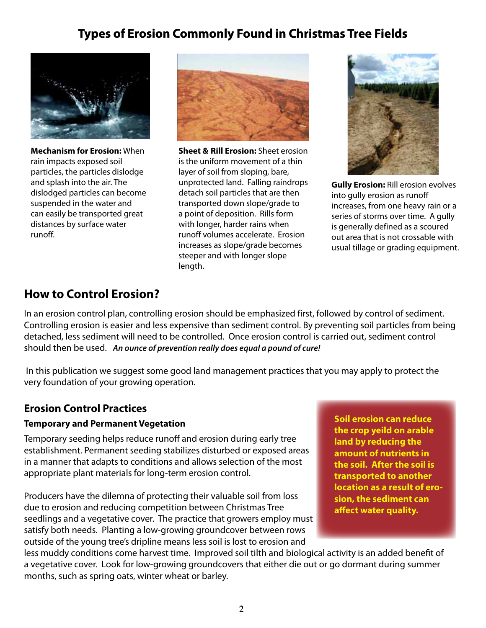## **Types of Erosion Commonly Found in Christmas Tree Fields**



**Mechanism for Erosion:** When rain impacts exposed soil particles, the particles dislodge and splash into the air. The dislodged particles can become suspended in the water and can easily be transported great distances by surface water runoff.



**Sheet & Rill Erosion:** Sheet erosion is the uniform movement of a thin layer of soil from sloping, bare, unprotected land. Falling raindrops detach soil particles that are then transported down slope/grade to a point of deposition. Rills form with longer, harder rains when runoff volumes accelerate. Erosion increases as slope/grade becomes steeper and with longer slope length.



**Gully Erosion:** Rill erosion evolves into gully erosion as runoff increases, from one heavy rain or a series of storms over time. A gully is generally defined as a scoured out area that is not crossable with usual tillage or grading equipment.

## **How to Control Erosion?**

In an erosion control plan, controlling erosion should be emphasized first, followed by control of sediment. Controlling erosion is easier and less expensive than sediment control. By preventing soil particles from being detached, less sediment will need to be controlled. Once erosion control is carried out, sediment control should then be used. *An ounce of prevention really does equal a pound of cure!*

In this publication we suggest some good land management practices that you may apply to protect the very foundation of your growing operation.

#### **Erosion Control Practices**

#### **Temporary and Permanent Vegetation**

Temporary seeding helps reduce runoff and erosion during early tree establishment. Permanent seeding stabilizes disturbed or exposed areas in a manner that adapts to conditions and allows selection of the most appropriate plant materials for long-term erosion control.

Producers have the dilemna of protecting their valuable soil from loss due to erosion and reducing competition between Christmas Tree seedlings and a vegetative cover. The practice that growers employ must satisfy both needs. Planting a low-growing groundcover between rows outside of the young tree's dripline means less soil is lost to erosion and

**Soil erosion can reduce the crop yeild on arable land by reducing the amount of nutrients in the soil. After the soil is transported to another location as a result of erosion, the sediment can affect water quality.**

less muddy conditions come harvest time. Improved soil tilth and biological activity is an added benefit of a vegetative cover. Look for low-growing groundcovers that either die out or go dormant during summer months, such as spring oats, winter wheat or barley.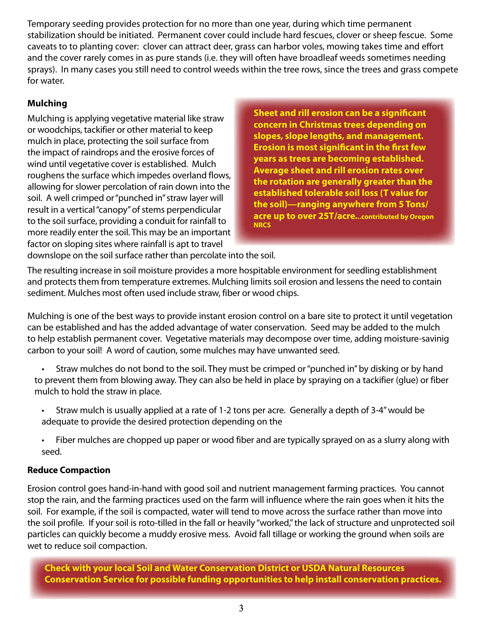Temporary seeding provides protection for no more than one year, during which time permanent stabilization should be initiated. Permanent cover could include hard fescues, clover or sheep fescue. Some caveats to to planting cover: clover can attract deer, grass can harbor voles, mowing takes time and effort and the cover rarely comes in as pure stands (i.e. they will often have broadleaf weeds sometimes needing sprays). In many cases you still need to control weeds within the tree rows, since the trees and grass compete for water.

#### **Mulching**

Mulching is applying vegetative material like straw or woodchips, tackifier or other material to keep mulch in place, protecting the soil surface from the impact of raindrops and the erosive forces of wind until vegetative cover is established. Mulch roughens the surface which impedes overland flows, allowing for slower percolation of rain down into the soil. A well crimped or "punched in" straw layer will result in a vertical "canopy" of stems perpendicular to the soil surface, providing a conduit for rainfall to more readily enter the soil. This may be an important factor on sloping sites where rainfall is apt to travel

**Sheet and rill erosion can be a significant concern in Christmas trees depending on slopes, slope lengths, and management. Erosion is most significant in the first few years as trees are becoming established. Average sheet and rill erosion rates over the rotation are generally greater than the established tolerable soil loss (T value for the soil)—ranging anywhere from 5 Tons/ acre up to over 25T/acre...contributed by Oregon NRCS**

downslope on the soil surface rather than percolate into the soil.

The resulting increase in soil moisture provides a more hospitable environment for seedling establishment and protects them from temperature extremes. Mulching limits soil erosion and lessens the need to contain sediment. Mulches most often used include straw, fiber or wood chips.

Mulching is one of the best ways to provide instant erosion control on a bare site to protect it until vegetation can be established and has the added advantage of water conservation. Seed may be added to the mulch to help establish permanent cover. Vegetative materials may decompose over time, adding moisture-savinig carbon to your soil! A word of caution, some mulches may have unwanted seed.

- Straw mulches do not bond to the soil. They must be crimped or "punched in" by disking or by hand to prevent them from blowing away. They can also be held in place by spraying on a tackifier (glue) or fiber mulch to hold the straw in place.
	- • Straw mulch is usually applied at a rate of 1-2 tons per acre. Generally a depth of 3-4"would be adequate to provide the desired protection depending on the
	- Fiber mulches are chopped up paper or wood fiber and are typically sprayed on as a slurry along with seed.

#### **Reduce Compaction**

Erosion control goes hand-in-hand with good soil and nutrient management farming practices. You cannot stop the rain, and the farming practices used on the farm will influence where the rain goes when it hits the soil. For example, if the soil is compacted, water will tend to move across the surface rather than move into the soil profile. If your soil is roto-tilled in the fall or heavily "worked," the lack of structure and unprotected soil particles can quickly become a muddy erosive mess. Avoid fall tillage or working the ground when soils are wet to reduce soil compaction.

**Check with your local Soil and Water Conservation District or USDA Natural Resources Conservation Service for possible funding opportunities to help install conservation practices.**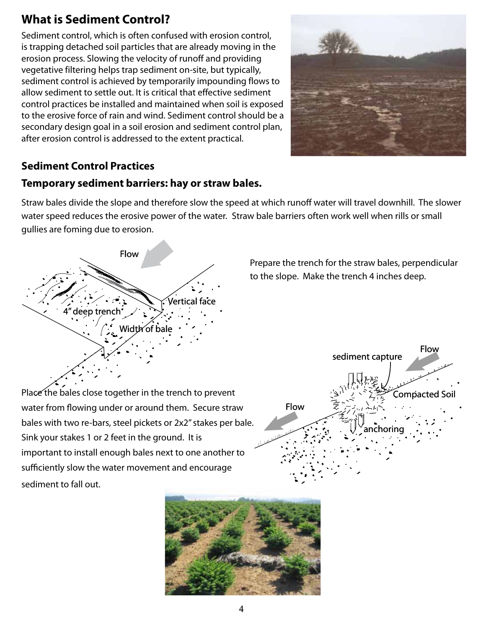## **What is Sediment Control?**

Sediment control, which is often confused with erosion control, is trapping detached soil particles that are already moving in the erosion process. Slowing the velocity of runoff and providing vegetative filtering helps trap sediment on-site, but typically, sediment control is achieved by temporarily impounding flows to allow sediment to settle out. It is critical that effective sediment control practices be installed and maintained when soil is exposed to the erosive force of rain and wind. Sediment control should be a secondary design goal in a soil erosion and sediment control plan, after erosion control is addressed to the extent practical.



## **Sediment Control Practices**

#### **Temporary sediment barriers: hay or straw bales.**

Straw bales divide the slope and therefore slow the speed at which runoff water will travel downhill. The slower water speed reduces the erosive power of the water.Straw bale barriers often work well when rills or small gullies are foming due to erosion.



Prepare the trench for the straw bales, perpendicular to the slope. Make the trench 4 inches deep.

Place the bales close together in the trench to prevent water from flowing under or around them. Secure straw bales with two re-bars, steel pickets or 2x2" stakes per bale. Sink your stakes 1 or 2 feet in the ground. It is important to install enough bales next to one another to sufficiently slow the water movement and encourage sediment to fall out.



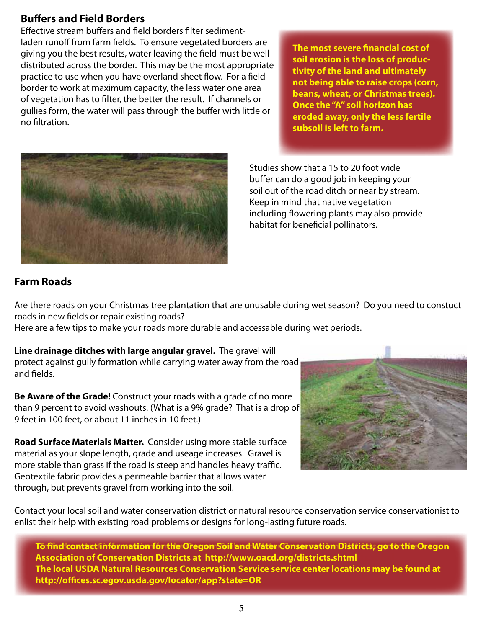#### **Buffers and Field Borders**

Effective stream buffers and field borders filter sedimentladen runoff from farm fields. To ensure vegetated borders are giving you the best results, water leaving the field must be well distributed across the border. This may be the most appropriate practice to use when you have overland sheet flow. For a field border to work at maximum capacity, the less water one area of vegetation has to filter, the better the result. If channels or gullies form, the water will pass through the buffer with little or no filtration.

**The most severe financial cost of soil erosion is the loss of productivity of the land and ultimately not being able to raise crops (corn, beans, wheat, or Christmas trees). Once the "A" soil horizon has eroded away, only the less fertile subsoil is left to farm.**



 Studies show that a 15 to 20 foot wide buffer can do a good job in keeping your soil out of the road ditch or near by stream. Keep in mind that native vegetation including flowering plants may also provide habitat for beneficial pollinators.

#### **Farm Roads**

Are there roads on your Christmas tree plantation that are unusable during wet season? Do you need to constuct roads in new fields or repair existing roads?

Here are a few tips to make your roads more durable and accessable during wet periods.

**Line drainage ditches with large angular gravel.** The gravel will protect against gully formation while carrying water away from the road and fields.

**Be Aware of the Grade!** Construct your roads with a grade of no more than 9 percent to avoid washouts. (What is a 9% grade? That is a drop of 9 feet in 100 feet, or about 11 inches in 10 feet.)

**Road Surface Materials Matter.** Consider using more stable surface material as your slope length, grade and useage increases. Gravel is more stable than grass if the road is steep and handles heavy traffic. Geotextile fabric provides a permeable barrier that allows water through, but prevents gravel from working into the soil.



Contact your local soil and water conservation district or natural resource conservation service conservationist to enlist their help with existing road problems or designs for long-lasting future roads.

**To find contact information for the Oregon Soil and Water Conservation Districts, go to the To find contact information for the Oregon Soil and Water Conservation Districts, go to the Oregon Oregon Association of Conservation Districts at http://www.oacd.org/districts.shtml Association of Conservation Districts at http://www.oacd.org/districts.shtml The local USDA Natural Resources Conservation Service service center locations may be found at The local USDA Natural Resources Conservation Service service center locations may be found at http://offices.sc.egov.usda.gov/locator/app?state=OR http://offices.sc.egov.usda.gov/locator/app?state=OR**